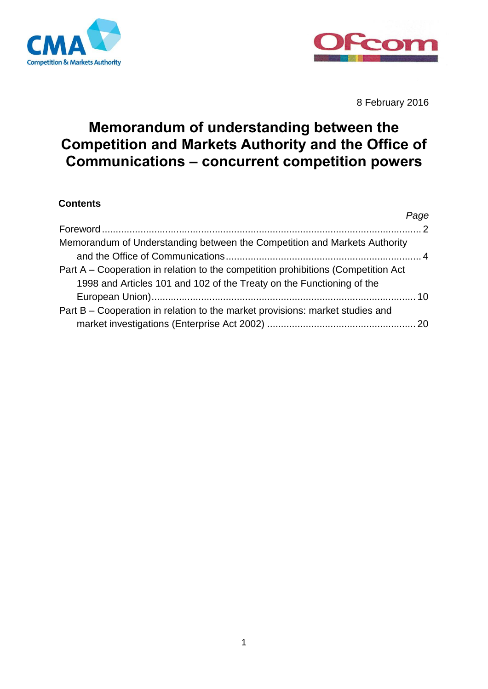



8 February 2016

# **Memorandum of understanding between the Competition and Markets Authority and the Office of Communications – concurrent competition powers**

#### **Contents**

|                                                                                   | Page |
|-----------------------------------------------------------------------------------|------|
|                                                                                   |      |
| Memorandum of Understanding between the Competition and Markets Authority         |      |
|                                                                                   |      |
| Part A – Cooperation in relation to the competition prohibitions (Competition Act |      |
| 1998 and Articles 101 and 102 of the Treaty on the Functioning of the             |      |
|                                                                                   |      |
| Part B - Cooperation in relation to the market provisions: market studies and     |      |
|                                                                                   |      |
|                                                                                   |      |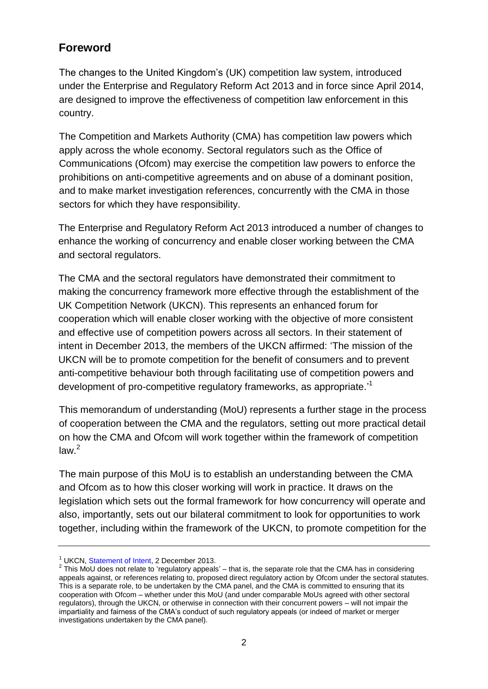## <span id="page-1-0"></span>**Foreword**

The changes to the United Kingdom's (UK) competition law system, introduced under the Enterprise and Regulatory Reform Act 2013 and in force since April 2014, are designed to improve the effectiveness of competition law enforcement in this country.

The Competition and Markets Authority (CMA) has competition law powers which apply across the whole economy. Sectoral regulators such as the Office of Communications (Ofcom) may exercise the competition law powers to enforce the prohibitions on anti-competitive agreements and on abuse of a dominant position, and to make market investigation references, concurrently with the CMA in those sectors for which they have responsibility.

The Enterprise and Regulatory Reform Act 2013 introduced a number of changes to enhance the working of concurrency and enable closer working between the CMA and sectoral regulators.

The CMA and the sectoral regulators have demonstrated their commitment to making the concurrency framework more effective through the establishment of the UK Competition Network (UKCN). This represents an enhanced forum for cooperation which will enable closer working with the objective of more consistent and effective use of competition powers across all sectors. In their statement of intent in December 2013, the members of the UKCN affirmed: 'The mission of the UKCN will be to promote competition for the benefit of consumers and to prevent anti-competitive behaviour both through facilitating use of competition powers and development of pro-competitive regulatory frameworks, as appropriate.<sup>1</sup>

This memorandum of understanding (MoU) represents a further stage in the process of cooperation between the CMA and the regulators, setting out more practical detail on how the CMA and Ofcom will work together within the framework of competition  $law<sup>2</sup>$ 

The main purpose of this MoU is to establish an understanding between the CMA and Ofcom as to how this closer working will work in practice. It draws on the legislation which sets out the formal framework for how concurrency will operate and also, importantly, sets out our bilateral commitment to look for opportunities to work together, including within the framework of the UKCN, to promote competition for the

<sup>&</sup>lt;sup>1</sup> UKCN, [Statement of Intent,](https://www.gov.uk/government/publications/uk-competition-network-statement-of-intent) 2 December 2013.

 $2$  This MoU does not relate to 'regulatory appeals' – that is, the separate role that the CMA has in considering appeals against, or references relating to, proposed direct regulatory action by Ofcom under the sectoral statutes. This is a separate role, to be undertaken by the CMA panel, and the CMA is committed to ensuring that its cooperation with Ofcom – whether under this MoU (and under comparable MoUs agreed with other sectoral regulators), through the UKCN, or otherwise in connection with their concurrent powers – will not impair the impartiality and fairness of the CMA's conduct of such regulatory appeals (or indeed of market or merger investigations undertaken by the CMA panel).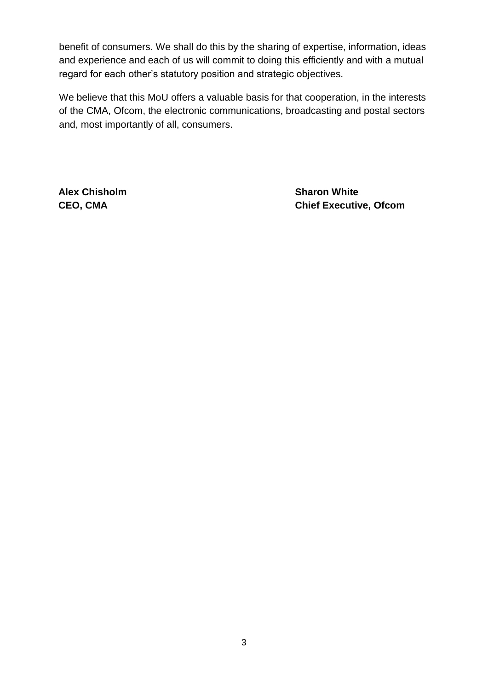benefit of consumers. We shall do this by the sharing of expertise, information, ideas and experience and each of us will commit to doing this efficiently and with a mutual regard for each other's statutory position and strategic objectives.

We believe that this MoU offers a valuable basis for that cooperation, in the interests of the CMA, Ofcom, the electronic communications, broadcasting and postal sectors and, most importantly of all, consumers.

**Alex Chisholm Sharon White** 

**CEO, CMA Chief Executive, Ofcom**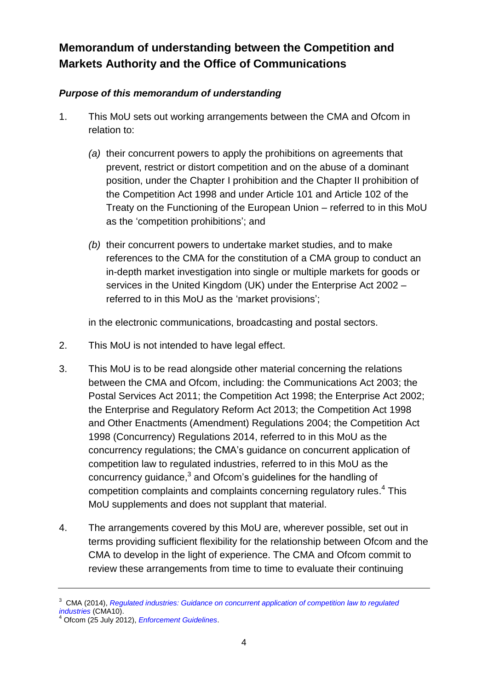# <span id="page-3-0"></span>**Memorandum of understanding between the Competition and Markets Authority and the Office of Communications**

### *Purpose of this memorandum of understanding*

- <span id="page-3-1"></span>1. This MoU sets out working arrangements between the CMA and Ofcom in relation to:
	- *(a)* their concurrent powers to apply the prohibitions on agreements that prevent, restrict or distort competition and on the abuse of a dominant position, under the Chapter I prohibition and the Chapter II prohibition of the Competition Act 1998 and under Article 101 and Article 102 of the Treaty on the Functioning of the European Union – referred to in this MoU as the 'competition prohibitions'; and
	- *(b)* their concurrent powers to undertake market studies, and to make references to the CMA for the constitution of a CMA group to conduct an in-depth market investigation into single or multiple markets for goods or services in the United Kingdom (UK) under the Enterprise Act 2002 – referred to in this MoU as the 'market provisions';

in the electronic communications, broadcasting and postal sectors.

- 2. This MoU is not intended to have legal effect.
- 3. This MoU is to be read alongside other material concerning the relations between the CMA and Ofcom, including: the Communications Act 2003; the Postal Services Act 2011; the Competition Act 1998; the Enterprise Act 2002; the Enterprise and Regulatory Reform Act 2013; the Competition Act 1998 and Other Enactments (Amendment) Regulations 2004; the Competition Act 1998 (Concurrency) Regulations 2014, referred to in this MoU as the concurrency regulations; the CMA's guidance on concurrent application of competition law to regulated industries, referred to in this MoU as the concurrency guidance,<sup>3</sup> and Ofcom's guidelines for the handling of competition complaints and complaints concerning regulatory rules.<sup>4</sup> This MoU supplements and does not supplant that material.
- 4. The arrangements covered by this MoU are, wherever possible, set out in terms providing sufficient flexibility for the relationship between Ofcom and the CMA to develop in the light of experience. The CMA and Ofcom commit to review these arrangements from time to time to evaluate their continuing

<sup>3</sup> CMA (2014), *[Regulated industries: Guidance on concurrent application of competition law to regulated](https://www.gov.uk/government/publications/guidance-on-concurrent-application-of-competition-law-to-regulated-industries)  [industries](https://www.gov.uk/government/publications/guidance-on-concurrent-application-of-competition-law-to-regulated-industries)* (CMA10).

<sup>4</sup> Ofcom (25 July 2012), *[Enforcement Guidelines](http://stakeholders.ofcom.org.uk/binaries/consultations/draft-enforcement-guidelines/annexes/Enforcement_guidelines.pdf)*.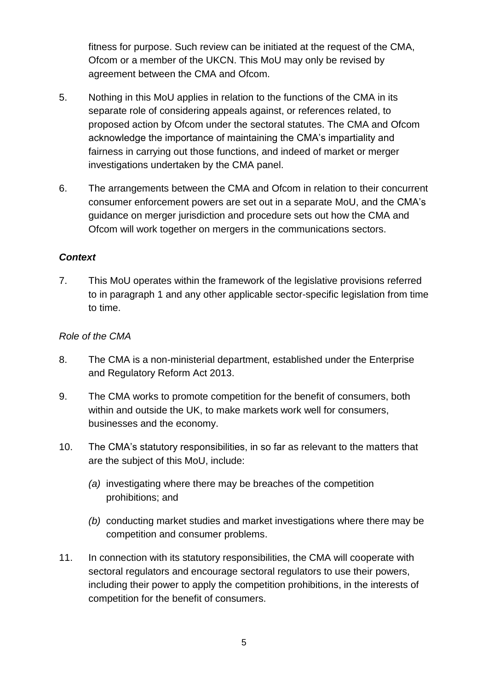fitness for purpose. Such review can be initiated at the request of the CMA, Ofcom or a member of the UKCN. This MoU may only be revised by agreement between the CMA and Ofcom.

- <span id="page-4-0"></span>5. Nothing in this MoU applies in relation to the functions of the CMA in its separate role of considering appeals against, or references related, to proposed action by Ofcom under the sectoral statutes. The CMA and Ofcom acknowledge the importance of maintaining the CMA's impartiality and fairness in carrying out those functions, and indeed of market or merger investigations undertaken by the CMA panel.
- 6. The arrangements between the CMA and Ofcom in relation to their concurrent consumer enforcement powers are set out in a separate MoU, and the CMA's guidance on merger jurisdiction and procedure sets out how the CMA and Ofcom will work together on mergers in the communications sectors.

### *Context*

7. This MoU operates within the framework of the legislative provisions referred to in paragraph [1](#page-3-1) and any other applicable sector-specific legislation from time to time.

#### *Role of the CMA*

- 8. The CMA is a non-ministerial department, established under the Enterprise and Regulatory Reform Act 2013.
- 9. The CMA works to promote competition for the benefit of consumers, both within and outside the UK, to make markets work well for consumers, businesses and the economy.
- 10. The CMA's statutory responsibilities, in so far as relevant to the matters that are the subject of this MoU, include:
	- *(a)* investigating where there may be breaches of the competition prohibitions; and
	- *(b)* conducting market studies and market investigations where there may be competition and consumer problems.
- 11. In connection with its statutory responsibilities, the CMA will cooperate with sectoral regulators and encourage sectoral regulators to use their powers, including their power to apply the competition prohibitions, in the interests of competition for the benefit of consumers.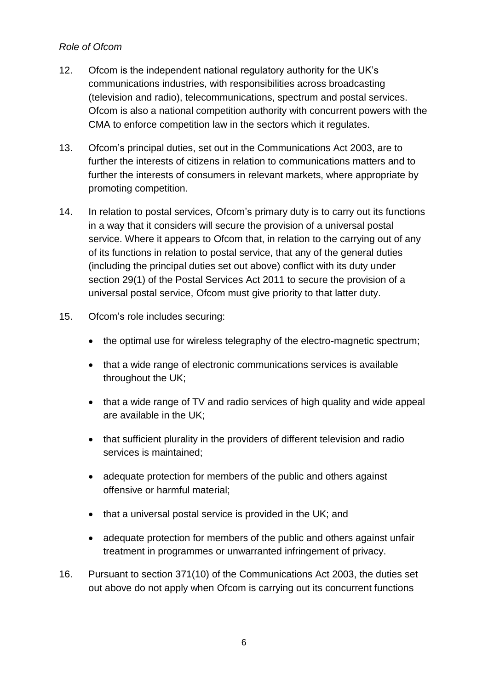#### *Role of Ofcom*

- 12. Ofcom is the independent national regulatory authority for the UK's communications industries, with responsibilities across broadcasting (television and radio), telecommunications, spectrum and postal services. Ofcom is also a national competition authority with concurrent powers with the CMA to enforce competition law in the sectors which it regulates.
- 13. Ofcom's principal duties, set out in the Communications Act 2003, are to further the interests of citizens in relation to communications matters and to further the interests of consumers in relevant markets, where appropriate by promoting competition.
- 14. In relation to postal services, Ofcom's primary duty is to carry out its functions in a way that it considers will secure the provision of a universal postal service. Where it appears to Ofcom that, in relation to the carrying out of any of its functions in relation to postal service, that any of the general duties (including the principal duties set out above) conflict with its duty under section 29(1) of the Postal Services Act 2011 to secure the provision of a universal postal service, Ofcom must give priority to that latter duty.
- 15. Ofcom's role includes securing:
	- the optimal use for wireless telegraphy of the electro-magnetic spectrum;
	- that a wide range of electronic communications services is available throughout the UK;
	- that a wide range of TV and radio services of high quality and wide appeal are available in the UK;
	- that sufficient plurality in the providers of different television and radio services is maintained;
	- adequate protection for members of the public and others against offensive or harmful material;
	- that a universal postal service is provided in the UK; and
	- adequate protection for members of the public and others against unfair treatment in programmes or unwarranted infringement of privacy.
- 16. Pursuant to section 371(10) of the Communications Act 2003, the duties set out above do not apply when Ofcom is carrying out its concurrent functions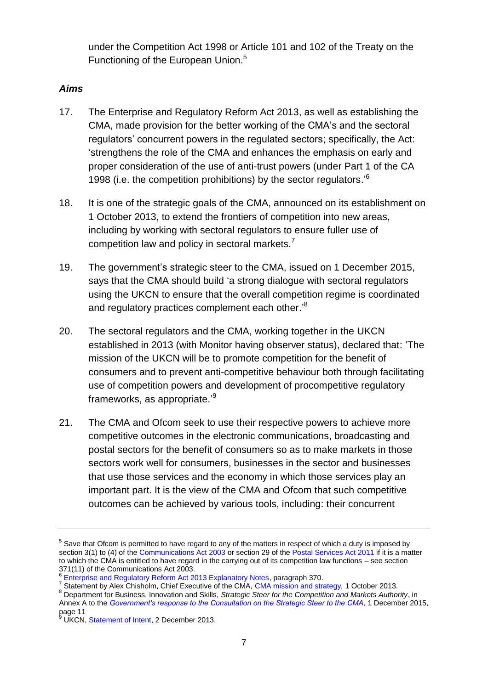under the Competition Act 1998 or Article 101 and 102 of the Treaty on the Functioning of the European Union.<sup>5</sup>

#### *Aims*

- 17. The Enterprise and Regulatory Reform Act 2013, as well as establishing the CMA, made provision for the better working of the CMA's and the sectoral regulators' concurrent powers in the regulated sectors; specifically, the Act: 'strengthens the role of the CMA and enhances the emphasis on early and proper consideration of the use of anti-trust powers (under Part 1 of the CA 1998 (i.e. the competition prohibitions) by the sector regulators.<sup>6</sup>
- 18. It is one of the strategic goals of the CMA, announced on its establishment on 1 October 2013, to extend the frontiers of competition into new areas, including by working with sectoral regulators to ensure fuller use of competition law and policy in sectoral markets.<sup>7</sup>
- 19. The government's strategic steer to the CMA, issued on 1 December 2015, says that the CMA should build 'a strong dialogue with sectoral regulators using the UKCN to ensure that the overall competition regime is coordinated and regulatory practices complement each other.<sup>8</sup>
- 20. The sectoral regulators and the CMA, working together in the UKCN established in 2013 (with Monitor having observer status), declared that: 'The mission of the UKCN will be to promote competition for the benefit of consumers and to prevent anti-competitive behaviour both through facilitating use of competition powers and development of procompetitive regulatory frameworks, as appropriate.' 9
- 21. The CMA and Ofcom seek to use their respective powers to achieve more competitive outcomes in the electronic communications, broadcasting and postal sectors for the benefit of consumers so as to make markets in those sectors work well for consumers, businesses in the sector and businesses that use those services and the economy in which those services play an important part. It is the view of the CMA and Ofcom that such competitive outcomes can be achieved by various tools, including: their concurrent

 $5$  Save that Ofcom is permitted to have regard to any of the matters in respect of which a duty is imposed by section 3(1) to (4) of the [Communications Act 2003](http://www.legislation.gov.uk/ukpga/2003/21/contents) or section 29 of th[e Postal Services Act 2011](http://www.legislation.gov.uk/ukpga/2011/5/contents) if it is a matter to which the CMA is entitled to have regard in the carrying out of its competition law functions – see section 371(11) of the Communications Act 2003.

<sup>&</sup>lt;sup>6</sup> [Enterprise and Regulatory Reform Act 2013 Explanatory Notes,](http://www.legislation.gov.uk/ukpga/2013/24/notes) paragraph 370.

<sup>7</sup> Statement by Alex Chisholm, Chief Executive of the CMA, [CMA mission and strategy](https://www.gov.uk/government/speeches/cma-mission-and-strategy)*,* 1 October 2013.

<sup>8</sup> Department for Business, Innovation and Skills, *Strategic Steer for the Competition and Markets Authority*, in Annex A to the *[Government's response to the Consultation on the Strategic Steer to the CMA](https://www.gov.uk/government/consultations/competition-regime-competition-and-markets-authority-governments-strategic-priorities)*, 1 December 2015, page 11

UKCN, [Statement of Intent,](https://www.gov.uk/government/publications/uk-competition-network-statement-of-intent) 2 December 2013.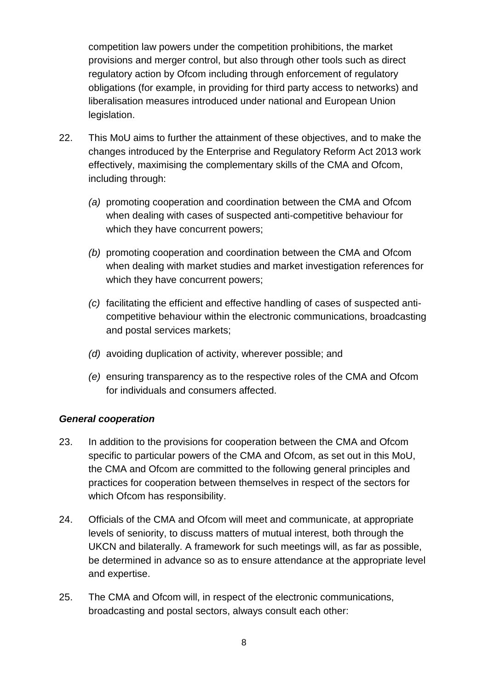competition law powers under the competition prohibitions, the market provisions and merger control, but also through other tools such as direct regulatory action by Ofcom including through enforcement of regulatory obligations (for example, in providing for third party access to networks) and liberalisation measures introduced under national and European Union legislation.

- 22. This MoU aims to further the attainment of these objectives, and to make the changes introduced by the Enterprise and Regulatory Reform Act 2013 work effectively, maximising the complementary skills of the CMA and Ofcom, including through:
	- *(a)* promoting cooperation and coordination between the CMA and Ofcom when dealing with cases of suspected anti-competitive behaviour for which they have concurrent powers;
	- *(b)* promoting cooperation and coordination between the CMA and Ofcom when dealing with market studies and market investigation references for which they have concurrent powers;
	- *(c)* facilitating the efficient and effective handling of cases of suspected anticompetitive behaviour within the electronic communications, broadcasting and postal services markets;
	- *(d)* avoiding duplication of activity, wherever possible; and
	- *(e)* ensuring transparency as to the respective roles of the CMA and Ofcom for individuals and consumers affected.

#### *General cooperation*

- 23. In addition to the provisions for cooperation between the CMA and Ofcom specific to particular powers of the CMA and Ofcom, as set out in this MoU, the CMA and Ofcom are committed to the following general principles and practices for cooperation between themselves in respect of the sectors for which Ofcom has responsibility.
- 24. Officials of the CMA and Ofcom will meet and communicate, at appropriate levels of seniority, to discuss matters of mutual interest, both through the UKCN and bilaterally. A framework for such meetings will, as far as possible, be determined in advance so as to ensure attendance at the appropriate level and expertise.
- 25. The CMA and Ofcom will, in respect of the electronic communications, broadcasting and postal sectors, always consult each other: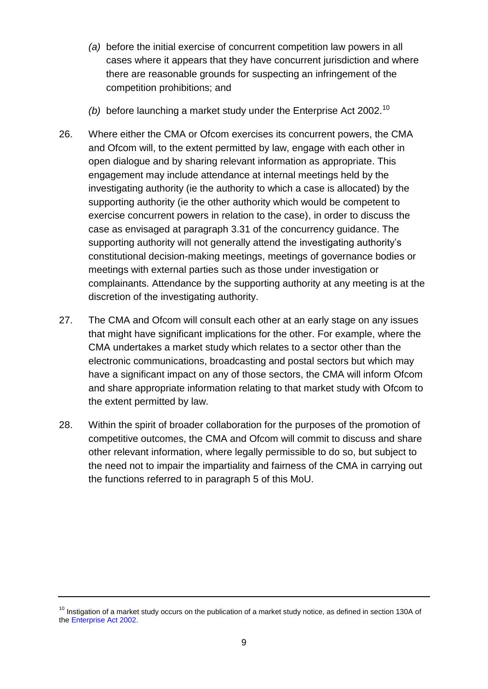- *(a)* before the initial exercise of concurrent competition law powers in all cases where it appears that they have concurrent jurisdiction and where there are reasonable grounds for suspecting an infringement of the competition prohibitions; and
- *(b)* before launching a market study under the Enterprise Act 2002.<sup>10</sup>
- 26. Where either the CMA or Ofcom exercises its concurrent powers, the CMA and Ofcom will, to the extent permitted by law, engage with each other in open dialogue and by sharing relevant information as appropriate. This engagement may include attendance at internal meetings held by the investigating authority (ie the authority to which a case is allocated) by the supporting authority (ie the other authority which would be competent to exercise concurrent powers in relation to the case), in order to discuss the case as envisaged at paragraph 3.31 of the concurrency guidance. The supporting authority will not generally attend the investigating authority's constitutional decision-making meetings, meetings of governance bodies or meetings with external parties such as those under investigation or complainants. Attendance by the supporting authority at any meeting is at the discretion of the investigating authority.
- 27. The CMA and Ofcom will consult each other at an early stage on any issues that might have significant implications for the other. For example, where the CMA undertakes a market study which relates to a sector other than the electronic communications, broadcasting and postal sectors but which may have a significant impact on any of those sectors, the CMA will inform Ofcom and share appropriate information relating to that market study with Ofcom to the extent permitted by law.
- 28. Within the spirit of broader collaboration for the purposes of the promotion of competitive outcomes, the CMA and Ofcom will commit to discuss and share other relevant information, where legally permissible to do so, but subject to the need not to impair the impartiality and fairness of the CMA in carrying out the functions referred to in paragraph [5](#page-4-0) of this MoU.

 $10$  Instigation of a market study occurs on the publication of a market study notice, as defined in section 130A of the [Enterprise Act 2002.](http://www.legislation.gov.uk/ukpga/2002/40/contents)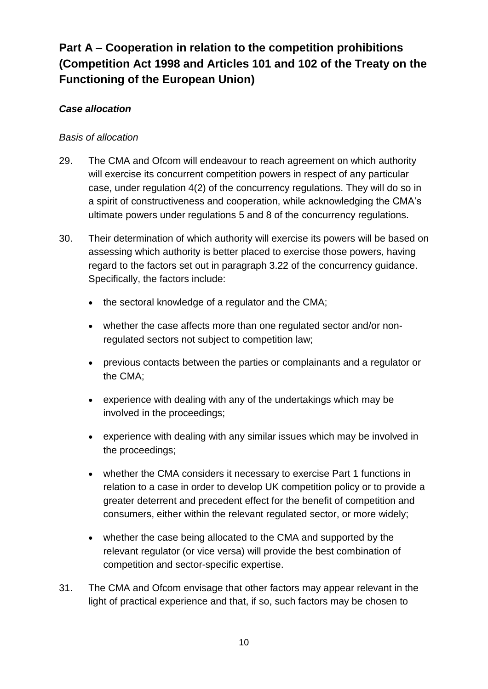# <span id="page-9-0"></span>**Part A – Cooperation in relation to the competition prohibitions (Competition Act 1998 and Articles 101 and 102 of the Treaty on the Functioning of the European Union)**

#### *Case allocation*

#### *Basis of allocation*

- 29. The CMA and Ofcom will endeavour to reach agreement on which authority will exercise its concurrent competition powers in respect of any particular case, under regulation 4(2) of the concurrency regulations. They will do so in a spirit of constructiveness and cooperation, while acknowledging the CMA's ultimate powers under regulations 5 and 8 of the concurrency regulations.
- 30. Their determination of which authority will exercise its powers will be based on assessing which authority is better placed to exercise those powers, having regard to the factors set out in paragraph 3.22 of the concurrency guidance. Specifically, the factors include:
	- the sectoral knowledge of a regulator and the CMA:
	- whether the case affects more than one regulated sector and/or nonregulated sectors not subject to competition law;
	- previous contacts between the parties or complainants and a regulator or the CMA;
	- experience with dealing with any of the undertakings which may be involved in the proceedings;
	- experience with dealing with any similar issues which may be involved in the proceedings;
	- whether the CMA considers it necessary to exercise Part 1 functions in relation to a case in order to develop UK competition policy or to provide a greater deterrent and precedent effect for the benefit of competition and consumers, either within the relevant regulated sector, or more widely;
	- whether the case being allocated to the CMA and supported by the relevant regulator (or vice versa) will provide the best combination of competition and sector-specific expertise.
- 31. The CMA and Ofcom envisage that other factors may appear relevant in the light of practical experience and that, if so, such factors may be chosen to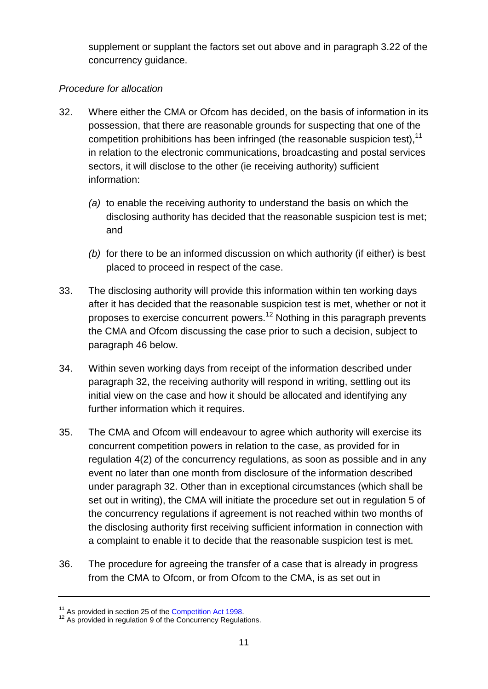supplement or supplant the factors set out above and in paragraph 3.22 of the concurrency guidance.

### *Procedure for allocation*

- <span id="page-10-0"></span>32. Where either the CMA or Ofcom has decided, on the basis of information in its possession, that there are reasonable grounds for suspecting that one of the competition prohibitions has been infringed (the reasonable suspicion test).<sup>11</sup> in relation to the electronic communications, broadcasting and postal services sectors, it will disclose to the other (ie receiving authority) sufficient information:
	- *(a)* to enable the receiving authority to understand the basis on which the disclosing authority has decided that the reasonable suspicion test is met; and
	- *(b)* for there to be an informed discussion on which authority (if either) is best placed to proceed in respect of the case.
- 33. The disclosing authority will provide this information within ten working days after it has decided that the reasonable suspicion test is met, whether or not it proposes to exercise concurrent powers.<sup>12</sup> Nothing in this paragraph prevents the CMA and Ofcom discussing the case prior to such a decision, subject to paragraph [46](#page-12-0) below.
- 34. Within seven working days from receipt of the information described under paragraph 32, the receiving authority will respond in writing, settling out its initial view on the case and how it should be allocated and identifying any further information which it requires.
- 35. The CMA and Ofcom will endeavour to agree which authority will exercise its concurrent competition powers in relation to the case, as provided for in regulation 4(2) of the concurrency regulations, as soon as possible and in any event no later than one month from disclosure of the information described under paragraph [32.](#page-10-0) Other than in exceptional circumstances (which shall be set out in writing), the CMA will initiate the procedure set out in regulation 5 of the concurrency regulations if agreement is not reached within two months of the disclosing authority first receiving sufficient information in connection with a complaint to enable it to decide that the reasonable suspicion test is met.
- 36. The procedure for agreeing the transfer of a case that is already in progress from the CMA to Ofcom, or from Ofcom to the CMA, is as set out in

<sup>&</sup>lt;sup>11</sup> As provided in section 25 of the [Competition Act 1998.](http://www.legislation.gov.uk/ukpga/1998/41/contents)

 $12$  As provided in regulation 9 of the Concurrency Regulations.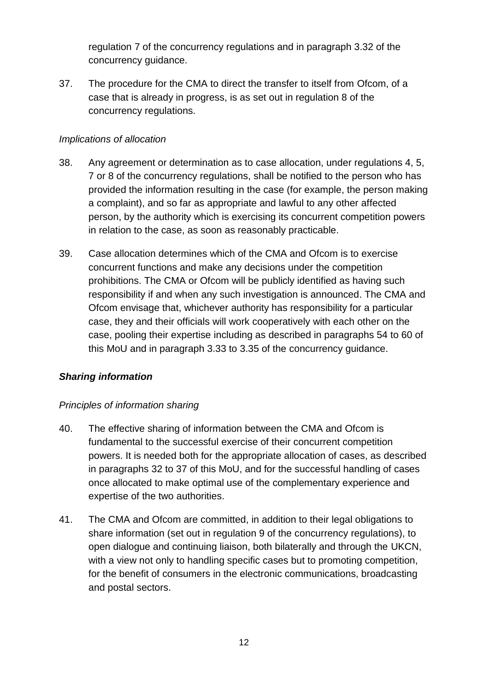regulation 7 of the concurrency regulations and in paragraph 3.32 of the concurrency guidance.

<span id="page-11-0"></span>37. The procedure for the CMA to direct the transfer to itself from Ofcom, of a case that is already in progress, is as set out in regulation 8 of the concurrency regulations.

#### *Implications of allocation*

- 38. Any agreement or determination as to case allocation, under regulations 4, 5, 7 or 8 of the concurrency regulations, shall be notified to the person who has provided the information resulting in the case (for example, the person making a complaint), and so far as appropriate and lawful to any other affected person, by the authority which is exercising its concurrent competition powers in relation to the case, as soon as reasonably practicable.
- 39. Case allocation determines which of the CMA and Ofcom is to exercise concurrent functions and make any decisions under the competition prohibitions. The CMA or Ofcom will be publicly identified as having such responsibility if and when any such investigation is announced. The CMA and Ofcom envisage that, whichever authority has responsibility for a particular case, they and their officials will work cooperatively with each other on the case, pooling their expertise including as described in paragraphs [54](#page-15-0) to [60](#page-16-0) of this MoU and in paragraph 3.33 to 3.35 of the concurrency guidance.

#### *Sharing information*

#### *Principles of information sharing*

- <span id="page-11-1"></span>40. The effective sharing of information between the CMA and Ofcom is fundamental to the successful exercise of their concurrent competition powers. It is needed both for the appropriate allocation of cases, as described in paragraphs [32](#page-10-0) to [37](#page-11-0) of this MoU, and for the successful handling of cases once allocated to make optimal use of the complementary experience and expertise of the two authorities.
- 41. The CMA and Ofcom are committed, in addition to their legal obligations to share information (set out in regulation 9 of the concurrency regulations), to open dialogue and continuing liaison, both bilaterally and through the UKCN, with a view not only to handling specific cases but to promoting competition, for the benefit of consumers in the electronic communications, broadcasting and postal sectors.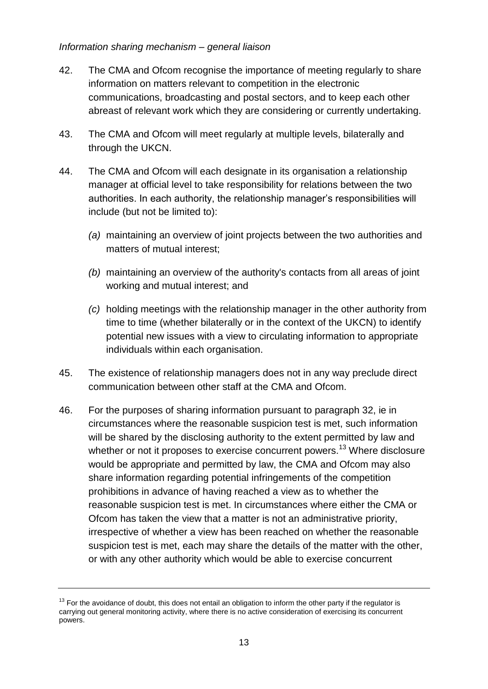#### *Information sharing mechanism – general liaison*

- <span id="page-12-1"></span>42. The CMA and Ofcom recognise the importance of meeting regularly to share information on matters relevant to competition in the electronic communications, broadcasting and postal sectors, and to keep each other abreast of relevant work which they are considering or currently undertaking.
- 43. The CMA and Ofcom will meet regularly at multiple levels, bilaterally and through the UKCN.
- 44. The CMA and Ofcom will each designate in its organisation a relationship manager at official level to take responsibility for relations between the two authorities. In each authority, the relationship manager's responsibilities will include (but not be limited to):
	- *(a)* maintaining an overview of joint projects between the two authorities and matters of mutual interest;
	- *(b)* maintaining an overview of the authority's contacts from all areas of joint working and mutual interest; and
	- *(c)* holding meetings with the relationship manager in the other authority from time to time (whether bilaterally or in the context of the UKCN) to identify potential new issues with a view to circulating information to appropriate individuals within each organisation.
- 45. The existence of relationship managers does not in any way preclude direct communication between other staff at the CMA and Ofcom.
- <span id="page-12-0"></span>46. For the purposes of sharing information pursuant to paragraph 32, ie in circumstances where the reasonable suspicion test is met, such information will be shared by the disclosing authority to the extent permitted by law and whether or not it proposes to exercise concurrent powers.<sup>13</sup> Where disclosure would be appropriate and permitted by law, the CMA and Ofcom may also share information regarding potential infringements of the competition prohibitions in advance of having reached a view as to whether the reasonable suspicion test is met. In circumstances where either the CMA or Ofcom has taken the view that a matter is not an administrative priority, irrespective of whether a view has been reached on whether the reasonable suspicion test is met, each may share the details of the matter with the other, or with any other authority which would be able to exercise concurrent

 $13$  For the avoidance of doubt, this does not entail an obligation to inform the other party if the regulator is carrying out general monitoring activity, where there is no active consideration of exercising its concurrent powers.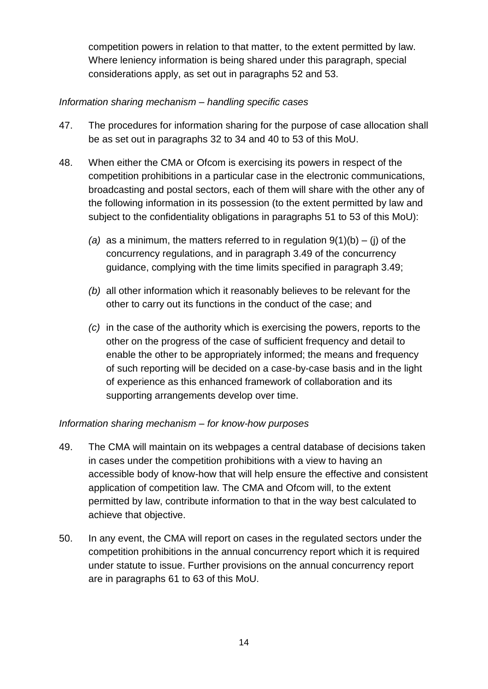competition powers in relation to that matter, to the extent permitted by law. Where leniency information is being shared under this paragraph, special considerations apply, as set out in paragraphs [52](#page-14-0) and [53.](#page-14-1)

#### *Information sharing mechanism – handling specific cases*

- 47. The procedures for information sharing for the purpose of case allocation shall be as set out in paragraphs 32 to 34 and [40](#page-11-1) to [53](#page-14-1) of this MoU.
- <span id="page-13-2"></span><span id="page-13-1"></span>48. When either the CMA or Ofcom is exercising its powers in respect of the competition prohibitions in a particular case in the electronic communications, broadcasting and postal sectors, each of them will share with the other any of the following information in its possession (to the extent permitted by law and subject to the confidentiality obligations in paragraphs [51](#page-14-2) to [53](#page-14-1) of this MoU):
	- *(a)* as a minimum, the matters referred to in regulation 9(1)(b) (j) of the concurrency regulations, and in paragraph 3.49 of the concurrency guidance, complying with the time limits specified in paragraph 3.49;
	- *(b)* all other information which it reasonably believes to be relevant for the other to carry out its functions in the conduct of the case; and
	- *(c)* in the case of the authority which is exercising the powers, reports to the other on the progress of the case of sufficient frequency and detail to enable the other to be appropriately informed; the means and frequency of such reporting will be decided on a case-by-case basis and in the light of experience as this enhanced framework of collaboration and its supporting arrangements develop over time.

#### *Information sharing mechanism – for know-how purposes*

- 49. The CMA will maintain on its webpages a central database of decisions taken in cases under the competition prohibitions with a view to having an accessible body of know-how that will help ensure the effective and consistent application of competition law. The CMA and Ofcom will, to the extent permitted by law, contribute information to that in the way best calculated to achieve that objective.
- <span id="page-13-0"></span>50. In any event, the CMA will report on cases in the regulated sectors under the competition prohibitions in the annual concurrency report which it is required under statute to issue. Further provisions on the annual concurrency report are in paragraphs [61](#page-16-1) to [63](#page-17-0) of this MoU.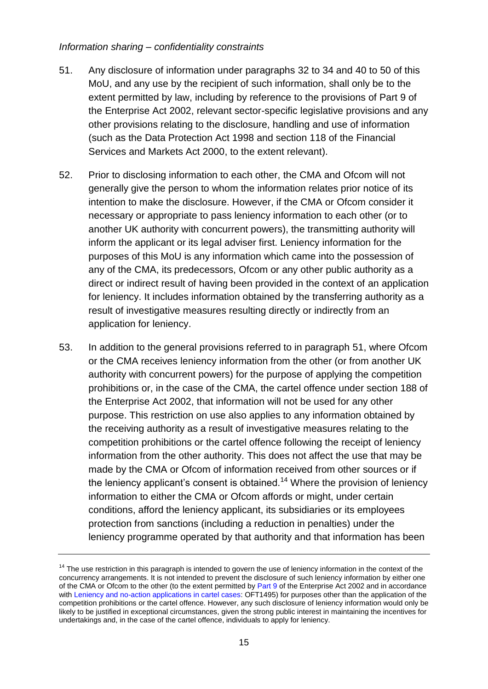#### *Information sharing – confidentiality constraints*

- <span id="page-14-2"></span>51. Any disclosure of information under paragraphs 32 to 34 and [40](#page-11-1) to [50](#page-13-0) of this MoU, and any use by the recipient of such information, shall only be to the extent permitted by law, including by reference to the provisions of Part 9 of the Enterprise Act 2002, relevant sector-specific legislative provisions and any other provisions relating to the disclosure, handling and use of information (such as the Data Protection Act 1998 and section 118 of the Financial Services and Markets Act 2000, to the extent relevant).
- <span id="page-14-0"></span>52. Prior to disclosing information to each other, the CMA and Ofcom will not generally give the person to whom the information relates prior notice of its intention to make the disclosure. However, if the CMA or Ofcom consider it necessary or appropriate to pass leniency information to each other (or to another UK authority with concurrent powers), the transmitting authority will inform the applicant or its legal adviser first. Leniency information for the purposes of this MoU is any information which came into the possession of any of the CMA, its predecessors, Ofcom or any other public authority as a direct or indirect result of having been provided in the context of an application for leniency. It includes information obtained by the transferring authority as a result of investigative measures resulting directly or indirectly from an application for leniency.
- <span id="page-14-1"></span>53. In addition to the general provisions referred to in paragraph [51,](#page-14-2) where Ofcom or the CMA receives leniency information from the other (or from another UK authority with concurrent powers) for the purpose of applying the competition prohibitions or, in the case of the CMA, the cartel offence under section 188 of the Enterprise Act 2002, that information will not be used for any other purpose. This restriction on use also applies to any information obtained by the receiving authority as a result of investigative measures relating to the competition prohibitions or the cartel offence following the receipt of leniency information from the other authority. This does not affect the use that may be made by the CMA or Ofcom of information received from other sources or if the leniency applicant's consent is obtained.<sup>14</sup> Where the provision of leniency information to either the CMA or Ofcom affords or might, under certain conditions, afford the leniency applicant, its subsidiaries or its employees protection from sanctions (including a reduction in penalties) under the leniency programme operated by that authority and that information has been

 $14$  The use restriction in this paragraph is intended to govern the use of leniency information in the context of the concurrency arrangements. It is not intended to prevent the disclosure of such leniency information by either one of the CMA or Ofcom to the other (to the extent permitted by [Part 9](http://www.legislation.gov.uk/ukpga/2002/40/part/9) of the Enterprise Act 2002 and in accordance with [Leniency and no-action applications in cartel cases:](https://www.gov.uk/government/publications/leniency-and-no-action-applications-in-cartel-cases) OFT1495) for purposes other than the application of the competition prohibitions or the cartel offence. However, any such disclosure of leniency information would only be likely to be justified in exceptional circumstances, given the strong public interest in maintaining the incentives for undertakings and, in the case of the cartel offence, individuals to apply for leniency.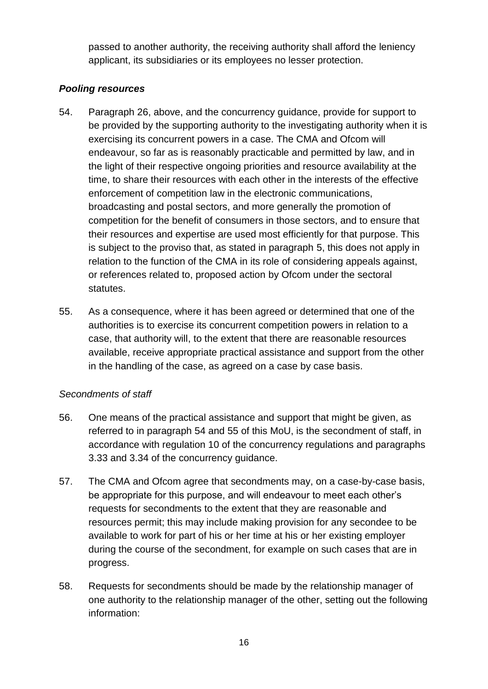passed to another authority, the receiving authority shall afford the leniency applicant, its subsidiaries or its employees no lesser protection.

### *Pooling resources*

- <span id="page-15-0"></span>54. Paragraph 26, above, and the concurrency guidance, provide for support to be provided by the supporting authority to the investigating authority when it is exercising its concurrent powers in a case. The CMA and Ofcom will endeavour, so far as is reasonably practicable and permitted by law, and in the light of their respective ongoing priorities and resource availability at the time, to share their resources with each other in the interests of the effective enforcement of competition law in the electronic communications, broadcasting and postal sectors, and more generally the promotion of competition for the benefit of consumers in those sectors, and to ensure that their resources and expertise are used most efficiently for that purpose. This is subject to the proviso that, as stated in paragraph [5,](#page-4-0) this does not apply in relation to the function of the CMA in its role of considering appeals against, or references related to, proposed action by Ofcom under the sectoral statutes.
- 55. As a consequence, where it has been agreed or determined that one of the authorities is to exercise its concurrent competition powers in relation to a case, that authority will, to the extent that there are reasonable resources available, receive appropriate practical assistance and support from the other in the handling of the case, as agreed on a case by case basis.

#### *Secondments of staff*

- 56. One means of the practical assistance and support that might be given, as referred to in paragraph [54](#page-15-0) and 55 of this MoU, is the secondment of staff, in accordance with regulation 10 of the concurrency regulations and paragraphs 3.33 and 3.34 of the concurrency guidance.
- 57. The CMA and Ofcom agree that secondments may, on a case-by-case basis, be appropriate for this purpose, and will endeavour to meet each other's requests for secondments to the extent that they are reasonable and resources permit; this may include making provision for any secondee to be available to work for part of his or her time at his or her existing employer during the course of the secondment, for example on such cases that are in progress.
- 58. Requests for secondments should be made by the relationship manager of one authority to the relationship manager of the other, setting out the following information: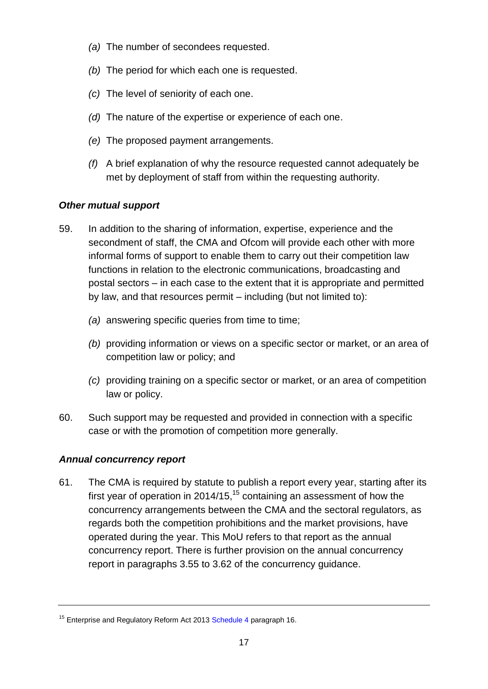- *(a)* The number of secondees requested.
- *(b)* The period for which each one is requested.
- *(c)* The level of seniority of each one.
- *(d)* The nature of the expertise or experience of each one.
- *(e)* The proposed payment arrangements.
- *(f)* A brief explanation of why the resource requested cannot adequately be met by deployment of staff from within the requesting authority.

### *Other mutual support*

- 59. In addition to the sharing of information, expertise, experience and the secondment of staff, the CMA and Ofcom will provide each other with more informal forms of support to enable them to carry out their competition law functions in relation to the electronic communications, broadcasting and postal sectors – in each case to the extent that it is appropriate and permitted by law, and that resources permit – including (but not limited to):
	- *(a)* answering specific queries from time to time;
	- *(b)* providing information or views on a specific sector or market, or an area of competition law or policy; and
	- *(c)* providing training on a specific sector or market, or an area of competition law or policy.
- <span id="page-16-0"></span>60. Such support may be requested and provided in connection with a specific case or with the promotion of competition more generally.

### *Annual concurrency report*

<span id="page-16-1"></span>61. The CMA is required by statute to publish a report every year, starting after its first year of operation in 2014/15,<sup>15</sup> containing an assessment of how the concurrency arrangements between the CMA and the sectoral regulators, as regards both the competition prohibitions and the market provisions, have operated during the year. This MoU refers to that report as the annual concurrency report. There is further provision on the annual concurrency report in paragraphs 3.55 to 3.62 of the concurrency guidance.

<sup>&</sup>lt;sup>15</sup> Enterprise and Regulatory Reform Act 2013 [Schedule 4](http://www.legislation.gov.uk/ukpga/2013/24/schedule/4/enacted) paragraph 16.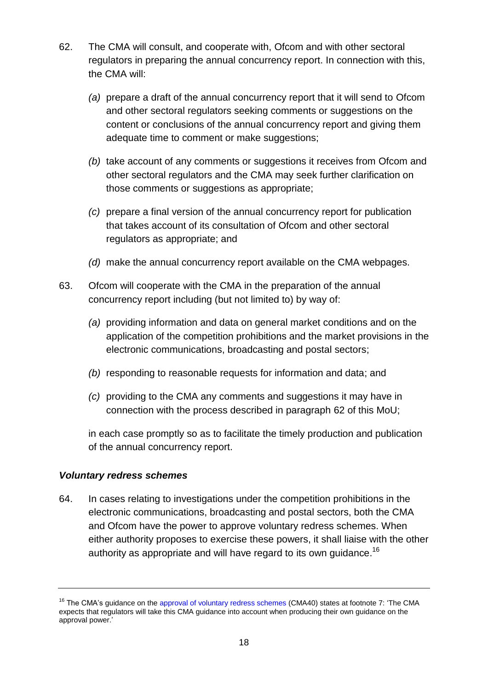- <span id="page-17-1"></span>62. The CMA will consult, and cooperate with, Ofcom and with other sectoral regulators in preparing the annual concurrency report. In connection with this, the CMA will:
	- *(a)* prepare a draft of the annual concurrency report that it will send to Ofcom and other sectoral regulators seeking comments or suggestions on the content or conclusions of the annual concurrency report and giving them adequate time to comment or make suggestions;
	- *(b)* take account of any comments or suggestions it receives from Ofcom and other sectoral regulators and the CMA may seek further clarification on those comments or suggestions as appropriate;
	- *(c)* prepare a final version of the annual concurrency report for publication that takes account of its consultation of Ofcom and other sectoral regulators as appropriate; and
	- *(d)* make the annual concurrency report available on the CMA webpages.
- <span id="page-17-0"></span>63. Ofcom will cooperate with the CMA in the preparation of the annual concurrency report including (but not limited to) by way of:
	- *(a)* providing information and data on general market conditions and on the application of the competition prohibitions and the market provisions in the electronic communications, broadcasting and postal sectors;
	- *(b)* responding to reasonable requests for information and data; and
	- *(c)* providing to the CMA any comments and suggestions it may have in connection with the process described in paragraph [62](#page-17-1) of this MoU;

in each case promptly so as to facilitate the timely production and publication of the annual concurrency report.

#### *Voluntary redress schemes*

64. In cases relating to investigations under the competition prohibitions in the electronic communications, broadcasting and postal sectors, both the CMA and Ofcom have the power to approve voluntary redress schemes. When either authority proposes to exercise these powers, it shall liaise with the other authority as appropriate and will have regard to its own guidance.<sup>16</sup>

<sup>&</sup>lt;sup>16</sup> The CMA's guidance on th[e approval of voluntary redress schemes](https://www.gov.uk/government/publications/approval-of-redress-schemes-for-competition-law-infringements) (CMA40) states at footnote 7: 'The CMA expects that regulators will take this CMA guidance into account when producing their own guidance on the approval power.'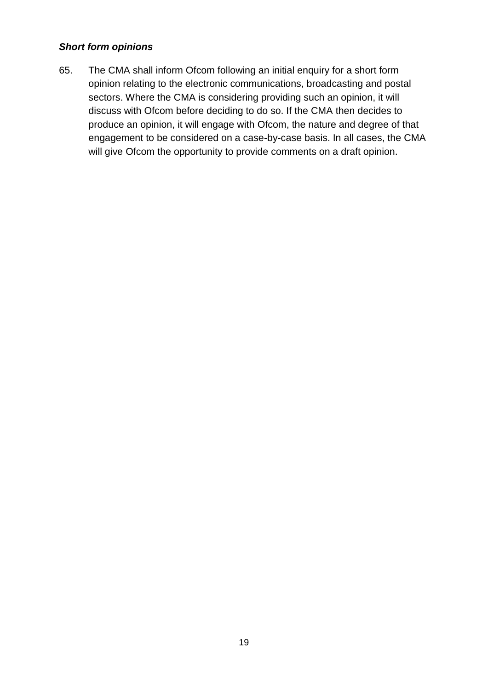#### *Short form opinions*

65. The CMA shall inform Ofcom following an initial enquiry for a short form opinion relating to the electronic communications, broadcasting and postal sectors. Where the CMA is considering providing such an opinion, it will discuss with Ofcom before deciding to do so. If the CMA then decides to produce an opinion, it will engage with Ofcom, the nature and degree of that engagement to be considered on a case-by-case basis. In all cases, the CMA will give Ofcom the opportunity to provide comments on a draft opinion.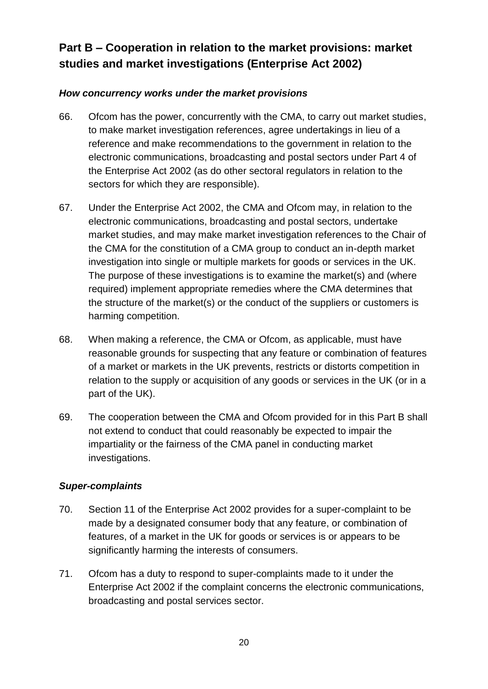# <span id="page-19-0"></span>**Part B – Cooperation in relation to the market provisions: market studies and market investigations (Enterprise Act 2002)**

#### *How concurrency works under the market provisions*

- 66. Ofcom has the power, concurrently with the CMA, to carry out market studies, to make market investigation references, agree undertakings in lieu of a reference and make recommendations to the government in relation to the electronic communications, broadcasting and postal sectors under Part 4 of the Enterprise Act 2002 (as do other sectoral regulators in relation to the sectors for which they are responsible).
- 67. Under the Enterprise Act 2002, the CMA and Ofcom may, in relation to the electronic communications, broadcasting and postal sectors, undertake market studies, and may make market investigation references to the Chair of the CMA for the constitution of a CMA group to conduct an in-depth market investigation into single or multiple markets for goods or services in the UK. The purpose of these investigations is to examine the market(s) and (where required) implement appropriate remedies where the CMA determines that the structure of the market(s) or the conduct of the suppliers or customers is harming competition.
- 68. When making a reference, the CMA or Ofcom, as applicable, must have reasonable grounds for suspecting that any feature or combination of features of a market or markets in the UK prevents, restricts or distorts competition in relation to the supply or acquisition of any goods or services in the UK (or in a part of the UK).
- 69. The cooperation between the CMA and Ofcom provided for in this Part B shall not extend to conduct that could reasonably be expected to impair the impartiality or the fairness of the CMA panel in conducting market investigations.

#### *Super-complaints*

- 70. Section 11 of the Enterprise Act 2002 provides for a super-complaint to be made by a designated consumer body that any feature, or combination of features, of a market in the UK for goods or services is or appears to be significantly harming the interests of consumers.
- 71. Ofcom has a duty to respond to super-complaints made to it under the Enterprise Act 2002 if the complaint concerns the electronic communications, broadcasting and postal services sector.